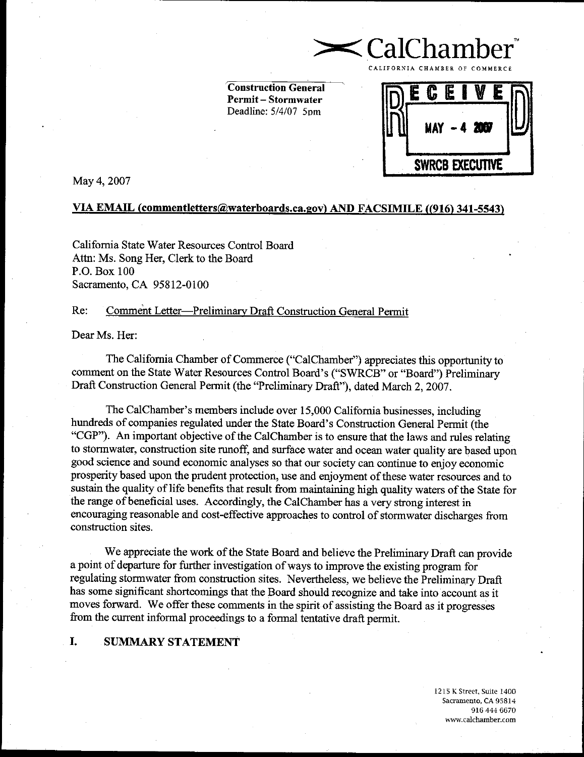**Construction General Permit-Stormwater** Deadline: 5/4/07 5pm



CalChamb

May 4, 2007

## VIA EMAIL (commentletters@waterboards.ca.gov) AND FACSIMILE ((916) 341-5543)

California State Water Resources Control Board Attn: Ms. Song Her, Clerk to the Board P.O. Box 100 Sacramento, CA 95812-0100

#### Re: Comment Letter-Preliminary Draft Construction General Permit

Dear Ms. Her:

The California Chamber of Commerce ("CalChamber") appreciates this opportunity to comment on the State Water Resources Control Board's ("SWRCB" or "Board") Preliminary Draft Construction General Permit (the "Preliminary Draft"), dated March 2, 2007.

The CalChamber's members include over 15,000 California businesses, including hundreds of companies regulated under the State Board's Construction General Permit (the "CGP"). An important objective of the CalChamber is to ensure that the laws and rules relating to stormwater, construction site runoff, and surface water and ocean water quality are based upon good science and sound economic analyses so that our society can continue to enjoy economic prosperity based upon the prudent protection, use and enjoyment of these water resources and to sustain the quality of life benefits that result from maintaining high quality waters of the State for the range of beneficial uses. Accordingly, the CalChamber has a very strong interest in encouraging reasonable and cost-effective approaches to control of stormwater discharges from construction sites.

We appreciate the work of the State Board and believe the Preliminary Draft can provide a point of departure for further investigation of ways to improve the existing program for regulating stormwater from construction sites. Nevertheless, we believe the Preliminary Draft has some significant shortcomings that the Board should recognize and take into account as it moves forward. We offer these comments in the spirit of assisting the Board as it progresses from the current informal proceedings to a formal tentative draft permit.

#### I. **SUMMARY STATEMENT**

1215 K Street, Suite 1400 Sacramento, CA 95814 916 444 6670 www.calchamber.com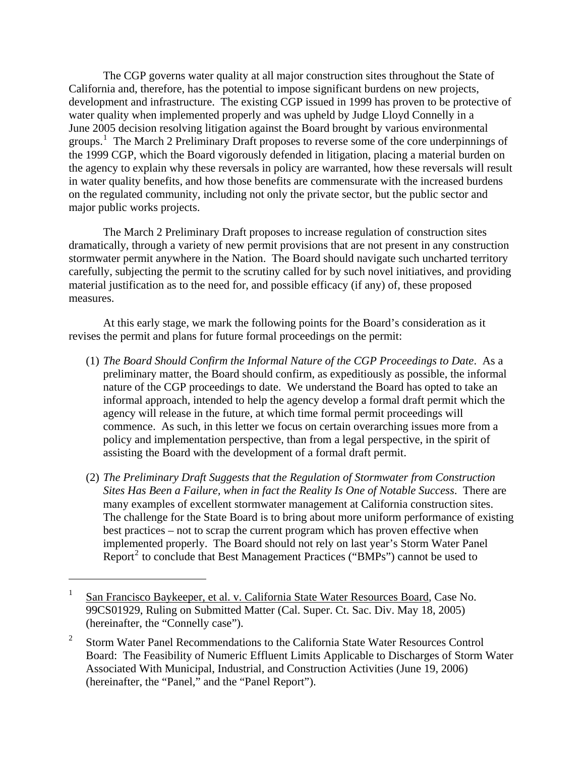The CGP governs water quality at all major construction sites throughout the State of California and, therefore, has the potential to impose significant burdens on new projects, development and infrastructure. The existing CGP issued in 1999 has proven to be protective of water quality when implemented properly and was upheld by Judge Lloyd Connelly in a June 2005 decision resolving litigation against the Board brought by various environmental groups. [1](#page-1-0) The March 2 Preliminary Draft proposes to reverse some of the core underpinnings of the 1999 CGP, which the Board vigorously defended in litigation, placing a material burden on the agency to explain why these reversals in policy are warranted, how these reversals will result in water quality benefits, and how those benefits are commensurate with the increased burdens on the regulated community, including not only the private sector, but the public sector and major public works projects.

The March 2 Preliminary Draft proposes to increase regulation of construction sites dramatically, through a variety of new permit provisions that are not present in any construction stormwater permit anywhere in the Nation. The Board should navigate such uncharted territory carefully, subjecting the permit to the scrutiny called for by such novel initiatives, and providing material justification as to the need for, and possible efficacy (if any) of, these proposed measures.

At this early stage, we mark the following points for the Board's consideration as it revises the permit and plans for future formal proceedings on the permit:

- (1) *The Board Should Confirm the Informal Nature of the CGP Proceedings to Date*. As a preliminary matter, the Board should confirm, as expeditiously as possible, the informal nature of the CGP proceedings to date. We understand the Board has opted to take an informal approach, intended to help the agency develop a formal draft permit which the agency will release in the future, at which time formal permit proceedings will commence. As such, in this letter we focus on certain overarching issues more from a policy and implementation perspective, than from a legal perspective, in the spirit of assisting the Board with the development of a formal draft permit.
- (2) *The Preliminary Draft Suggests that the Regulation of Stormwater from Construction Sites Has Been a Failure, when in fact the Reality Is One of Notable Success*. There are many examples of excellent stormwater management at California construction sites. The challenge for the State Board is to bring about more uniform performance of existing best practices – not to scrap the current program which has proven effective when implemented properly. The Board should not rely on last year's Storm Water Panel Report<sup>[2](#page-1-1)</sup> to conclude that Best Management Practices ("BMPs") cannot be used to

<span id="page-1-0"></span><sup>1</sup> San Francisco Baykeeper, et al. v. California State Water Resources Board, Case No. 99CS01929, Ruling on Submitted Matter (Cal. Super. Ct. Sac. Div. May 18, 2005) (hereinafter, the "Connelly case").

<span id="page-1-1"></span><sup>2</sup> Storm Water Panel Recommendations to the California State Water Resources Control Board: The Feasibility of Numeric Effluent Limits Applicable to Discharges of Storm Water Associated With Municipal, Industrial, and Construction Activities (June 19, 2006) (hereinafter, the "Panel," and the "Panel Report").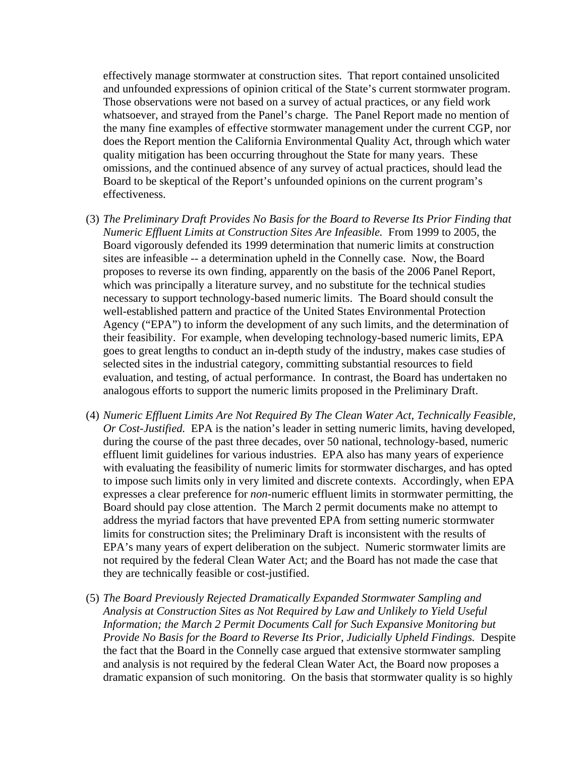effectively manage stormwater at construction sites. That report contained unsolicited and unfounded expressions of opinion critical of the State's current stormwater program. Those observations were not based on a survey of actual practices, or any field work whatsoever, and strayed from the Panel's charge. The Panel Report made no mention of the many fine examples of effective stormwater management under the current CGP, nor does the Report mention the California Environmental Quality Act, through which water quality mitigation has been occurring throughout the State for many years. These omissions, and the continued absence of any survey of actual practices, should lead the Board to be skeptical of the Report's unfounded opinions on the current program's effectiveness.

- (3) *The Preliminary Draft Provides No Basis for the Board to Reverse Its Prior Finding that Numeric Effluent Limits at Construction Sites Are Infeasible.* From 1999 to 2005, the Board vigorously defended its 1999 determination that numeric limits at construction sites are infeasible -- a determination upheld in the Connelly case. Now, the Board proposes to reverse its own finding, apparently on the basis of the 2006 Panel Report, which was principally a literature survey, and no substitute for the technical studies necessary to support technology-based numeric limits. The Board should consult the well-established pattern and practice of the United States Environmental Protection Agency ("EPA") to inform the development of any such limits, and the determination of their feasibility. For example, when developing technology-based numeric limits, EPA goes to great lengths to conduct an in-depth study of the industry, makes case studies of selected sites in the industrial category, committing substantial resources to field evaluation, and testing, of actual performance. In contrast, the Board has undertaken no analogous efforts to support the numeric limits proposed in the Preliminary Draft.
- (4) *Numeric Effluent Limits Are Not Required By The Clean Water Act, Technically Feasible, Or Cost-Justified.* EPA is the nation's leader in setting numeric limits, having developed, during the course of the past three decades, over 50 national, technology-based, numeric effluent limit guidelines for various industries. EPA also has many years of experience with evaluating the feasibility of numeric limits for stormwater discharges, and has opted to impose such limits only in very limited and discrete contexts. Accordingly, when EPA expresses a clear preference for *non*-numeric effluent limits in stormwater permitting, the Board should pay close attention. The March 2 permit documents make no attempt to address the myriad factors that have prevented EPA from setting numeric stormwater limits for construction sites; the Preliminary Draft is inconsistent with the results of EPA's many years of expert deliberation on the subject. Numeric stormwater limits are not required by the federal Clean Water Act; and the Board has not made the case that they are technically feasible or cost-justified.
- (5) *The Board Previously Rejected Dramatically Expanded Stormwater Sampling and Analysis at Construction Sites as Not Required by Law and Unlikely to Yield Useful Information; the March 2 Permit Documents Call for Such Expansive Monitoring but Provide No Basis for the Board to Reverse Its Prior, Judicially Upheld Findings.* Despite the fact that the Board in the Connelly case argued that extensive stormwater sampling and analysis is not required by the federal Clean Water Act, the Board now proposes a dramatic expansion of such monitoring. On the basis that stormwater quality is so highly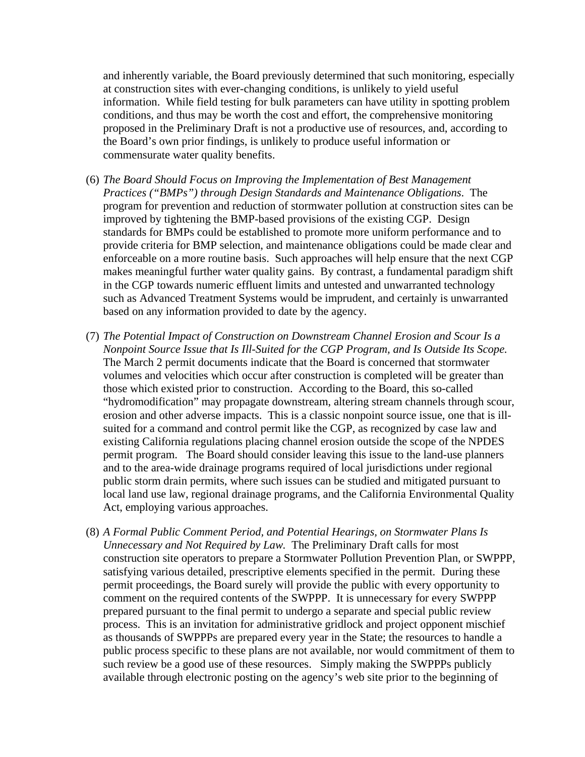and inherently variable, the Board previously determined that such monitoring, especially at construction sites with ever-changing conditions, is unlikely to yield useful information. While field testing for bulk parameters can have utility in spotting problem conditions, and thus may be worth the cost and effort, the comprehensive monitoring proposed in the Preliminary Draft is not a productive use of resources, and, according to the Board's own prior findings, is unlikely to produce useful information or commensurate water quality benefits.

- (6) *The Board Should Focus on Improving the Implementation of Best Management Practices ("BMPs") through Design Standards and Maintenance Obligations*. The program for prevention and reduction of stormwater pollution at construction sites can be improved by tightening the BMP-based provisions of the existing CGP. Design standards for BMPs could be established to promote more uniform performance and to provide criteria for BMP selection, and maintenance obligations could be made clear and enforceable on a more routine basis. Such approaches will help ensure that the next CGP makes meaningful further water quality gains. By contrast, a fundamental paradigm shift in the CGP towards numeric effluent limits and untested and unwarranted technology such as Advanced Treatment Systems would be imprudent, and certainly is unwarranted based on any information provided to date by the agency.
- (7) *The Potential Impact of Construction on Downstream Channel Erosion and Scour Is a Nonpoint Source Issue that Is Ill-Suited for the CGP Program, and Is Outside Its Scope.*  The March 2 permit documents indicate that the Board is concerned that stormwater volumes and velocities which occur after construction is completed will be greater than those which existed prior to construction. According to the Board, this so-called "hydromodification" may propagate downstream, altering stream channels through scour, erosion and other adverse impacts. This is a classic nonpoint source issue, one that is illsuited for a command and control permit like the CGP, as recognized by case law and existing California regulations placing channel erosion outside the scope of the NPDES permit program. The Board should consider leaving this issue to the land-use planners and to the area-wide drainage programs required of local jurisdictions under regional public storm drain permits, where such issues can be studied and mitigated pursuant to local land use law, regional drainage programs, and the California Environmental Quality Act, employing various approaches.
- (8) *A Formal Public Comment Period, and Potential Hearings, on Stormwater Plans Is Unnecessary and Not Required by Law.* The Preliminary Draft calls for most construction site operators to prepare a Stormwater Pollution Prevention Plan, or SWPPP, satisfying various detailed, prescriptive elements specified in the permit. During these permit proceedings, the Board surely will provide the public with every opportunity to comment on the required contents of the SWPPP. It is unnecessary for every SWPPP prepared pursuant to the final permit to undergo a separate and special public review process. This is an invitation for administrative gridlock and project opponent mischief as thousands of SWPPPs are prepared every year in the State; the resources to handle a public process specific to these plans are not available, nor would commitment of them to such review be a good use of these resources. Simply making the SWPPPs publicly available through electronic posting on the agency's web site prior to the beginning of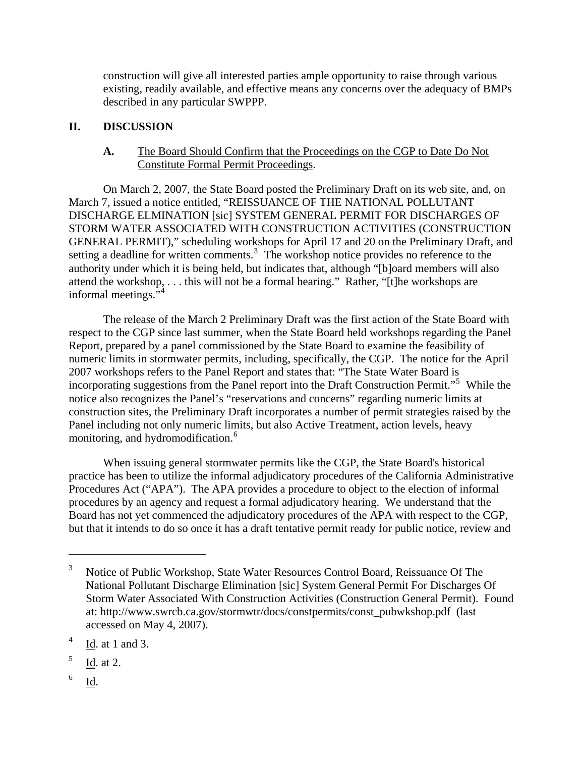construction will give all interested parties ample opportunity to raise through various existing, readily available, and effective means any concerns over the adequacy of BMPs described in any particular SWPPP.

# **II. DISCUSSION**

## **A.** The Board Should Confirm that the Proceedings on the CGP to Date Do Not Constitute Formal Permit Proceedings.

On March 2, 2007, the State Board posted the Preliminary Draft on its web site, and, on March 7, issued a notice entitled, "REISSUANCE OF THE NATIONAL POLLUTANT DISCHARGE ELMINATION [sic] SYSTEM GENERAL PERMIT FOR DISCHARGES OF STORM WATER ASSOCIATED WITH CONSTRUCTION ACTIVITIES (CONSTRUCTION GENERAL PERMIT)," scheduling workshops for April 17 and 20 on the Preliminary Draft, and setting a deadline for written comments.<sup>[3](#page-4-0)</sup> The workshop notice provides no reference to the authority under which it is being held, but indicates that, although "[b]oard members will also attend the workshop, . . . this will not be a formal hearing." Rather, "[t]he workshops are informal meetings."[4](#page-4-1)

The release of the March 2 Preliminary Draft was the first action of the State Board with respect to the CGP since last summer, when the State Board held workshops regarding the Panel Report, prepared by a panel commissioned by the State Board to examine the feasibility of numeric limits in stormwater permits, including, specifically, the CGP. The notice for the April 2007 workshops refers to the Panel Report and states that: "The State Water Board is incorporating suggestions from the Panel report into the Draft Construction Permit."[5](#page-4-2) While the notice also recognizes the Panel's "reservations and concerns" regarding numeric limits at construction sites, the Preliminary Draft incorporates a number of permit strategies raised by the Panel including not only numeric limits, but also Active Treatment, action levels, heavy monitoring, and hydromodification.<sup>[6](#page-4-3)</sup>

When issuing general stormwater permits like the CGP, the State Board's historical practice has been to utilize the informal adjudicatory procedures of the California Administrative Procedures Act ("APA"). The APA provides a procedure to object to the election of informal procedures by an agency and request a formal adjudicatory hearing. We understand that the Board has not yet commenced the adjudicatory procedures of the APA with respect to the CGP, but that it intends to do so once it has a draft tentative permit ready for public notice, review and

<span id="page-4-3"></span>6 Id.

<span id="page-4-0"></span><sup>3</sup> Notice of Public Workshop, State Water Resources Control Board, Reissuance Of The National Pollutant Discharge Elimination [sic] System General Permit For Discharges Of Storm Water Associated With Construction Activities (Construction General Permit). Found at: http://www.swrcb.ca.gov/stormwtr/docs/constpermits/const\_pubwkshop.pdf (last accessed on May 4, 2007).

<span id="page-4-1"></span><sup>4</sup> Id. at 1 and 3.

<span id="page-4-2"></span><sup>5</sup> Id. at 2.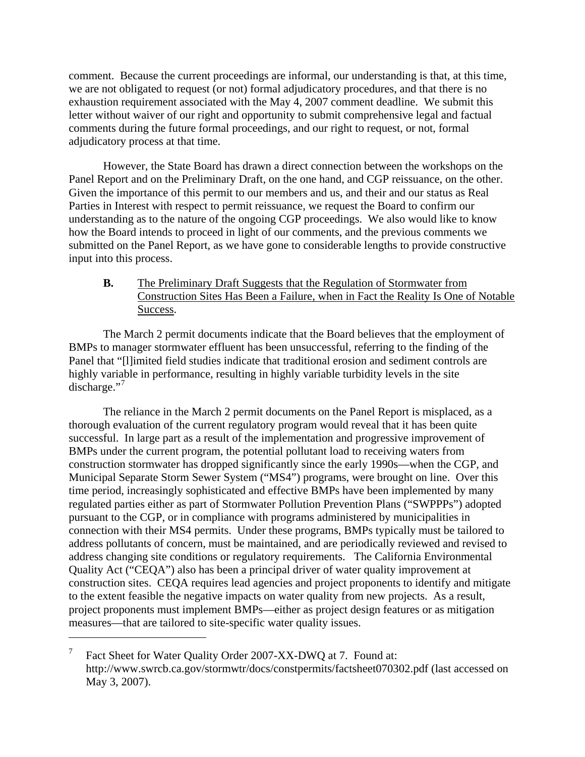comment. Because the current proceedings are informal, our understanding is that, at this time, we are not obligated to request (or not) formal adjudicatory procedures, and that there is no exhaustion requirement associated with the May 4, 2007 comment deadline. We submit this letter without waiver of our right and opportunity to submit comprehensive legal and factual comments during the future formal proceedings, and our right to request, or not, formal adjudicatory process at that time.

However, the State Board has drawn a direct connection between the workshops on the Panel Report and on the Preliminary Draft, on the one hand, and CGP reissuance, on the other. Given the importance of this permit to our members and us, and their and our status as Real Parties in Interest with respect to permit reissuance, we request the Board to confirm our understanding as to the nature of the ongoing CGP proceedings. We also would like to know how the Board intends to proceed in light of our comments, and the previous comments we submitted on the Panel Report, as we have gone to considerable lengths to provide constructive input into this process.

**B.** The Preliminary Draft Suggests that the Regulation of Stormwater from Construction Sites Has Been a Failure, when in Fact the Reality Is One of Notable Success.

The March 2 permit documents indicate that the Board believes that the employment of BMPs to manager stormwater effluent has been unsuccessful, referring to the finding of the Panel that "[l]imited field studies indicate that traditional erosion and sediment controls are highly variable in performance, resulting in highly variable turbidity levels in the site discharge."<sup>[7](#page-5-0)</sup>

The reliance in the March 2 permit documents on the Panel Report is misplaced, as a thorough evaluation of the current regulatory program would reveal that it has been quite successful. In large part as a result of the implementation and progressive improvement of BMPs under the current program, the potential pollutant load to receiving waters from construction stormwater has dropped significantly since the early 1990s—when the CGP, and Municipal Separate Storm Sewer System ("MS4") programs, were brought on line. Over this time period, increasingly sophisticated and effective BMPs have been implemented by many regulated parties either as part of Stormwater Pollution Prevention Plans ("SWPPPs") adopted pursuant to the CGP, or in compliance with programs administered by municipalities in connection with their MS4 permits. Under these programs, BMPs typically must be tailored to address pollutants of concern, must be maintained, and are periodically reviewed and revised to address changing site conditions or regulatory requirements. The California Environmental Quality Act ("CEQA") also has been a principal driver of water quality improvement at construction sites. CEQA requires lead agencies and project proponents to identify and mitigate to the extent feasible the negative impacts on water quality from new projects. As a result, project proponents must implement BMPs—either as project design features or as mitigation measures—that are tailored to site-specific water quality issues.

<span id="page-5-0"></span><sup>7</sup> Fact Sheet for Water Quality Order 2007-XX-DWQ at 7. Found at: http://www.swrcb.ca.gov/stormwtr/docs/constpermits/factsheet070302.pdf (last accessed on May 3, 2007).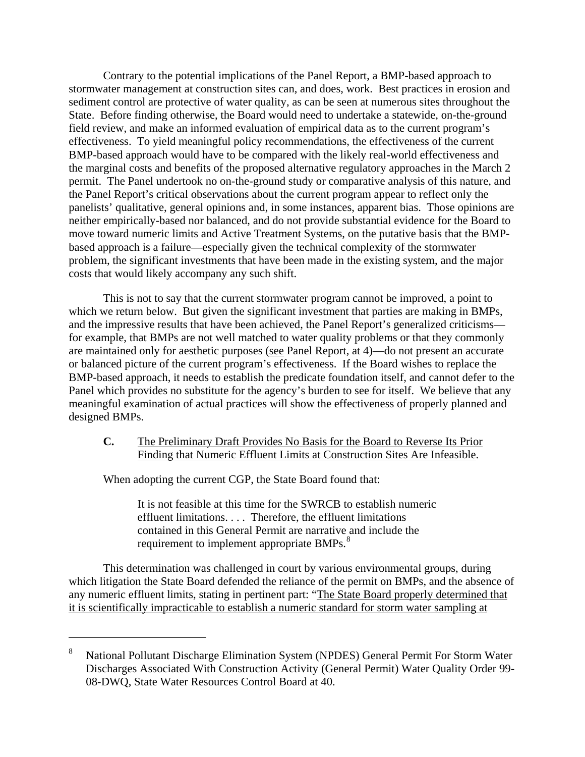Contrary to the potential implications of the Panel Report, a BMP-based approach to stormwater management at construction sites can, and does, work. Best practices in erosion and sediment control are protective of water quality, as can be seen at numerous sites throughout the State. Before finding otherwise, the Board would need to undertake a statewide, on-the-ground field review, and make an informed evaluation of empirical data as to the current program's effectiveness. To yield meaningful policy recommendations, the effectiveness of the current BMP-based approach would have to be compared with the likely real-world effectiveness and the marginal costs and benefits of the proposed alternative regulatory approaches in the March 2 permit. The Panel undertook no on-the-ground study or comparative analysis of this nature, and the Panel Report's critical observations about the current program appear to reflect only the panelists' qualitative, general opinions and, in some instances, apparent bias. Those opinions are neither empirically-based nor balanced, and do not provide substantial evidence for the Board to move toward numeric limits and Active Treatment Systems, on the putative basis that the BMPbased approach is a failure—especially given the technical complexity of the stormwater problem, the significant investments that have been made in the existing system, and the major costs that would likely accompany any such shift.

This is not to say that the current stormwater program cannot be improved, a point to which we return below. But given the significant investment that parties are making in BMPs, and the impressive results that have been achieved, the Panel Report's generalized criticisms for example, that BMPs are not well matched to water quality problems or that they commonly are maintained only for aesthetic purposes (see Panel Report, at 4)—do not present an accurate or balanced picture of the current program's effectiveness. If the Board wishes to replace the BMP-based approach, it needs to establish the predicate foundation itself, and cannot defer to the Panel which provides no substitute for the agency's burden to see for itself. We believe that any meaningful examination of actual practices will show the effectiveness of properly planned and designed BMPs.

#### **C.** The Preliminary Draft Provides No Basis for the Board to Reverse Its Prior Finding that Numeric Effluent Limits at Construction Sites Are Infeasible.

When adopting the current CGP, the State Board found that:

 $\overline{a}$ 

It is not feasible at this time for the SWRCB to establish numeric effluent limitations. . . . Therefore, the effluent limitations contained in this General Permit are narrative and include the requirement to implement appropriate BMPs.<sup>[8](#page-6-0)</sup>

This determination was challenged in court by various environmental groups, during which litigation the State Board defended the reliance of the permit on BMPs, and the absence of any numeric effluent limits, stating in pertinent part: "The State Board properly determined that it is scientifically impracticable to establish a numeric standard for storm water sampling at

<span id="page-6-0"></span><sup>8</sup> National Pollutant Discharge Elimination System (NPDES) General Permit For Storm Water Discharges Associated With Construction Activity (General Permit) Water Quality Order 99- 08-DWQ, State Water Resources Control Board at 40.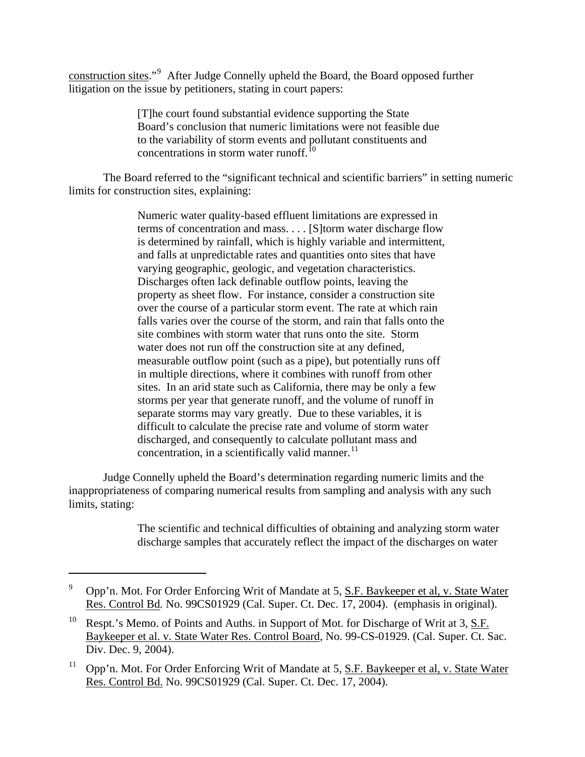construction sites."<sup>[9](#page-7-0)</sup> After Judge Connelly upheld the Board, the Board opposed further litigation on the issue by petitioners, stating in court papers:

> [T]he court found substantial evidence supporting the State Board's conclusion that numeric limitations were not feasible due to the variability of storm events and pollutant constituents and concentrations in storm water runoff.<sup>[10](#page-7-1)</sup>

The Board referred to the "significant technical and scientific barriers" in setting numeric limits for construction sites, explaining:

> Numeric water quality-based effluent limitations are expressed in terms of concentration and mass. . . . [S]torm water discharge flow is determined by rainfall, which is highly variable and intermittent, and falls at unpredictable rates and quantities onto sites that have varying geographic, geologic, and vegetation characteristics. Discharges often lack definable outflow points, leaving the property as sheet flow. For instance, consider a construction site over the course of a particular storm event. The rate at which rain falls varies over the course of the storm, and rain that falls onto the site combines with storm water that runs onto the site. Storm water does not run off the construction site at any defined, measurable outflow point (such as a pipe), but potentially runs off in multiple directions, where it combines with runoff from other sites. In an arid state such as California, there may be only a few storms per year that generate runoff, and the volume of runoff in separate storms may vary greatly. Due to these variables, it is difficult to calculate the precise rate and volume of storm water discharged, and consequently to calculate pollutant mass and concentration, in a scientifically valid manner. $^{11}$  $^{11}$  $^{11}$

Judge Connelly upheld the Board's determination regarding numeric limits and the inappropriateness of comparing numerical results from sampling and analysis with any such limits, stating:

> The scientific and technical difficulties of obtaining and analyzing storm water discharge samples that accurately reflect the impact of the discharges on water

<span id="page-7-0"></span><sup>9</sup> Opp'n. Mot. For Order Enforcing Writ of Mandate at 5, S.F. Baykeeper et al, v. State Water Res. Control Bd*.* No. 99CS01929 (Cal. Super. Ct. Dec. 17, 2004). (emphasis in original).

<span id="page-7-1"></span><sup>&</sup>lt;sup>10</sup> Respt.'s Memo. of Points and Auths. in Support of Mot. for Discharge of Writ at  $3, S.F.$ Baykeeper et al. v. State Water Res. Control Board, No. 99-CS-01929. (Cal. Super. Ct. Sac. Div. Dec. 9, 2004).

<span id="page-7-2"></span><sup>&</sup>lt;sup>11</sup> Opp'n. Mot. For Order Enforcing Writ of Mandate at 5, S.F. Baykeeper et al, v. State Water Res. Control Bd. No. 99CS01929 (Cal. Super. Ct. Dec. 17, 2004).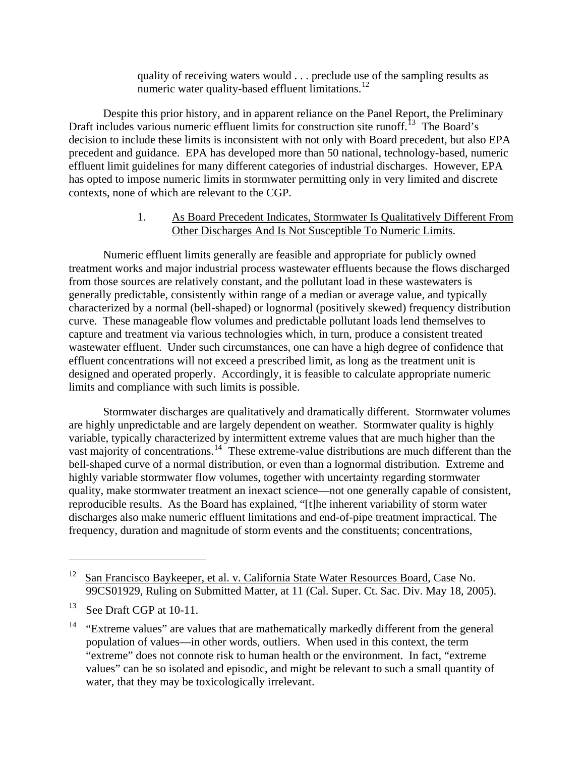quality of receiving waters would . . . preclude use of the sampling results as numeric water quality-based effluent limitations. $^{12}$  $^{12}$  $^{12}$ 

Despite this prior history, and in apparent reliance on the Panel Report, the Preliminary Draft includes various numeric effluent limits for construction site runoff.<sup>[13](#page-8-1)</sup> The Board's decision to include these limits is inconsistent with not only with Board precedent, but also EPA precedent and guidance. EPA has developed more than 50 national, technology-based, numeric effluent limit guidelines for many different categories of industrial discharges. However, EPA has opted to impose numeric limits in stormwater permitting only in very limited and discrete contexts, none of which are relevant to the CGP.

## 1. As Board Precedent Indicates, Stormwater Is Qualitatively Different From Other Discharges And Is Not Susceptible To Numeric Limits.

Numeric effluent limits generally are feasible and appropriate for publicly owned treatment works and major industrial process wastewater effluents because the flows discharged from those sources are relatively constant, and the pollutant load in these wastewaters is generally predictable, consistently within range of a median or average value, and typically characterized by a normal (bell-shaped) or lognormal (positively skewed) frequency distribution curve. These manageable flow volumes and predictable pollutant loads lend themselves to capture and treatment via various technologies which, in turn, produce a consistent treated wastewater effluent. Under such circumstances, one can have a high degree of confidence that effluent concentrations will not exceed a prescribed limit, as long as the treatment unit is designed and operated properly. Accordingly, it is feasible to calculate appropriate numeric limits and compliance with such limits is possible.

Stormwater discharges are qualitatively and dramatically different. Stormwater volumes are highly unpredictable and are largely dependent on weather. Stormwater quality is highly variable, typically characterized by intermittent extreme values that are much higher than the vast majority of concentrations.<sup>14</sup> These extreme-value distributions are much different than the bell-shaped curve of a normal distribution, or even than a lognormal distribution. Extreme and highly variable stormwater flow volumes, together with uncertainty regarding stormwater quality, make stormwater treatment an inexact science—not one generally capable of consistent, reproducible results. As the Board has explained, "[t]he inherent variability of storm water discharges also make numeric effluent limitations and end-of-pipe treatment impractical. The frequency, duration and magnitude of storm events and the constituents; concentrations,

<span id="page-8-0"></span><sup>&</sup>lt;sup>12</sup> San Francisco Baykeeper, et al. v. California State Water Resources Board, Case No. 99CS01929, Ruling on Submitted Matter, at 11 (Cal. Super. Ct. Sac. Div. May 18, 2005).

<span id="page-8-1"></span><sup>&</sup>lt;sup>13</sup> See Draft CGP at 10-11.

<span id="page-8-2"></span><sup>&</sup>lt;sup>14</sup> "Extreme values" are values that are mathematically markedly different from the general population of values—in other words, outliers. When used in this context, the term "extreme" does not connote risk to human health or the environment. In fact, "extreme values" can be so isolated and episodic, and might be relevant to such a small quantity of water, that they may be toxicologically irrelevant.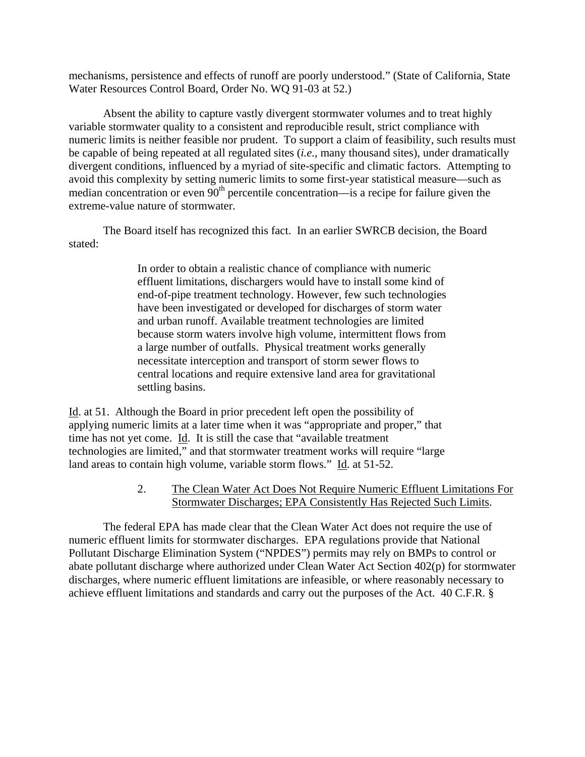mechanisms, persistence and effects of runoff are poorly understood." (State of California, State Water Resources Control Board, Order No. WQ 91-03 at 52.)

Absent the ability to capture vastly divergent stormwater volumes and to treat highly variable stormwater quality to a consistent and reproducible result, strict compliance with numeric limits is neither feasible nor prudent. To support a claim of feasibility, such results must be capable of being repeated at all regulated sites (*i.e.*, many thousand sites), under dramatically divergent conditions, influenced by a myriad of site-specific and climatic factors. Attempting to avoid this complexity by setting numeric limits to some first-year statistical measure—such as median concentration or even  $90<sup>th</sup>$  percentile concentration—is a recipe for failure given the extreme-value nature of stormwater.

The Board itself has recognized this fact. In an earlier SWRCB decision, the Board stated:

> In order to obtain a realistic chance of compliance with numeric effluent limitations, dischargers would have to install some kind of end-of-pipe treatment technology. However, few such technologies have been investigated or developed for discharges of storm water and urban runoff. Available treatment technologies are limited because storm waters involve high volume, intermittent flows from a large number of outfalls. Physical treatment works generally necessitate interception and transport of storm sewer flows to central locations and require extensive land area for gravitational settling basins.

Id. at 51. Although the Board in prior precedent left open the possibility of applying numeric limits at a later time when it was "appropriate and proper," that time has not yet come. Id. It is still the case that "available treatment technologies are limited," and that stormwater treatment works will require "large land areas to contain high volume, variable storm flows." Id. at 51-52.

## 2. The Clean Water Act Does Not Require Numeric Effluent Limitations For Stormwater Discharges; EPA Consistently Has Rejected Such Limits.

The federal EPA has made clear that the Clean Water Act does not require the use of numeric effluent limits for stormwater discharges. EPA regulations provide that National Pollutant Discharge Elimination System ("NPDES") permits may rely on BMPs to control or abate pollutant discharge where authorized under Clean Water Act Section 402(p) for stormwater discharges, where numeric effluent limitations are infeasible, or where reasonably necessary to achieve effluent limitations and standards and carry out the purposes of the Act. 40 C.F.R. §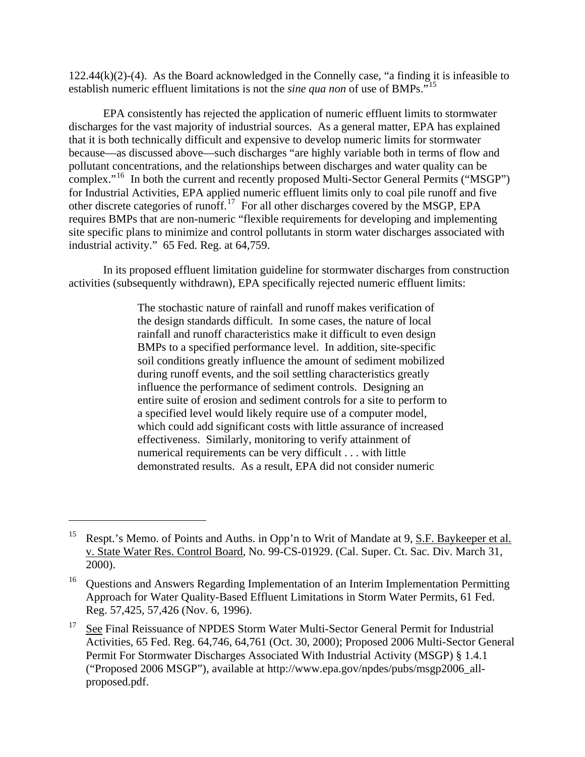122.44(k)(2)-(4). As the Board acknowledged in the Connelly case, "a finding it is infeasible to establish numeric effluent limitations is not the *sine qua non* of use of BMPs."[15](#page-10-0)

EPA consistently has rejected the application of numeric effluent limits to stormwater discharges for the vast majority of industrial sources. As a general matter, EPA has explained that it is both technically difficult and expensive to develop numeric limits for stormwater because—as discussed above—such discharges "are highly variable both in terms of flow and pollutant concentrations, and the relationships between discharges and water quality can be complex."<sup>[16](#page-10-1)</sup> In both the current and recently proposed Multi-Sector General Permits ("MSGP") for Industrial Activities, EPA applied numeric effluent limits only to coal pile runoff and five other discrete categories of runoff.<sup>[17](#page-10-2)</sup> For all other discharges covered by the MSGP, EPA requires BMPs that are non-numeric "flexible requirements for developing and implementing site specific plans to minimize and control pollutants in storm water discharges associated with industrial activity." 65 Fed. Reg. at 64,759.

In its proposed effluent limitation guideline for stormwater discharges from construction activities (subsequently withdrawn), EPA specifically rejected numeric effluent limits:

> The stochastic nature of rainfall and runoff makes verification of the design standards difficult. In some cases, the nature of local rainfall and runoff characteristics make it difficult to even design BMPs to a specified performance level. In addition, site-specific soil conditions greatly influence the amount of sediment mobilized during runoff events, and the soil settling characteristics greatly influence the performance of sediment controls. Designing an entire suite of erosion and sediment controls for a site to perform to a specified level would likely require use of a computer model, which could add significant costs with little assurance of increased effectiveness. Similarly, monitoring to verify attainment of numerical requirements can be very difficult . . . with little demonstrated results. As a result, EPA did not consider numeric

<span id="page-10-0"></span>Respt.'s Memo. of Points and Auths. in Opp'n to Writ of Mandate at 9, S.F. Baykeeper et al. v. State Water Res. Control Board, No. 99-CS-01929. (Cal. Super. Ct. Sac. Div. March 31, 2000).

<span id="page-10-1"></span><sup>&</sup>lt;sup>16</sup> Questions and Answers Regarding Implementation of an Interim Implementation Permitting Approach for Water Quality-Based Effluent Limitations in Storm Water Permits, 61 Fed. Reg. 57,425, 57,426 (Nov. 6, 1996).

<span id="page-10-2"></span><sup>&</sup>lt;sup>17</sup> See Final Reissuance of NPDES Storm Water Multi-Sector General Permit for Industrial Activities, 65 Fed. Reg. 64,746, 64,761 (Oct. 30, 2000); Proposed 2006 Multi-Sector General Permit For Stormwater Discharges Associated With Industrial Activity (MSGP) § 1.4.1 ("Proposed 2006 MSGP"), available at http://www.epa.gov/npdes/pubs/msgp2006\_allproposed.pdf.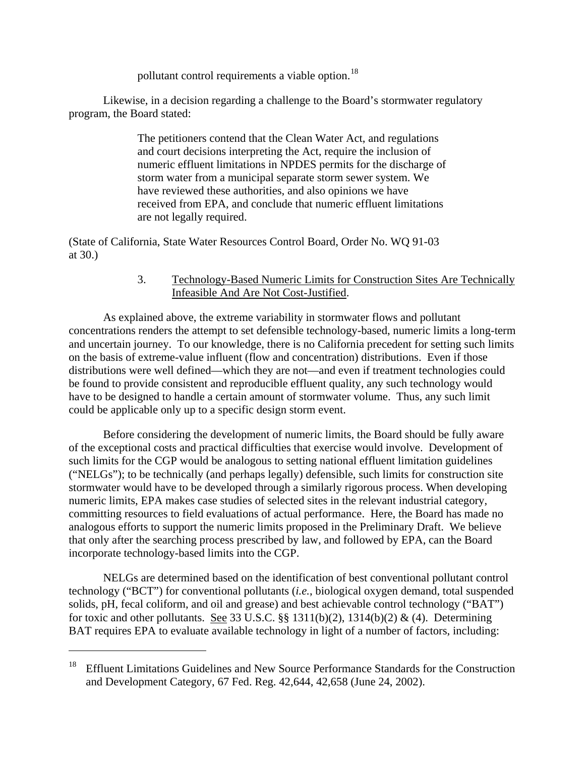pollutant control requirements a viable option.<sup>[18](#page-11-0)</sup>

Likewise, in a decision regarding a challenge to the Board's stormwater regulatory program, the Board stated:

> The petitioners contend that the Clean Water Act, and regulations and court decisions interpreting the Act, require the inclusion of numeric effluent limitations in NPDES permits for the discharge of storm water from a municipal separate storm sewer system. We have reviewed these authorities, and also opinions we have received from EPA, and conclude that numeric effluent limitations are not legally required.

(State of California, State Water Resources Control Board, Order No. WQ 91-03 at 30.)

## 3. Technology-Based Numeric Limits for Construction Sites Are Technically Infeasible And Are Not Cost-Justified.

As explained above, the extreme variability in stormwater flows and pollutant concentrations renders the attempt to set defensible technology-based, numeric limits a long-term and uncertain journey. To our knowledge, there is no California precedent for setting such limits on the basis of extreme-value influent (flow and concentration) distributions. Even if those distributions were well defined—which they are not—and even if treatment technologies could be found to provide consistent and reproducible effluent quality, any such technology would have to be designed to handle a certain amount of stormwater volume. Thus, any such limit could be applicable only up to a specific design storm event.

Before considering the development of numeric limits, the Board should be fully aware of the exceptional costs and practical difficulties that exercise would involve. Development of such limits for the CGP would be analogous to setting national effluent limitation guidelines ("NELGs"); to be technically (and perhaps legally) defensible, such limits for construction site stormwater would have to be developed through a similarly rigorous process. When developing numeric limits, EPA makes case studies of selected sites in the relevant industrial category, committing resources to field evaluations of actual performance. Here, the Board has made no analogous efforts to support the numeric limits proposed in the Preliminary Draft. We believe that only after the searching process prescribed by law, and followed by EPA, can the Board incorporate technology-based limits into the CGP.

NELGs are determined based on the identification of best conventional pollutant control technology ("BCT") for conventional pollutants (*i.e.*, biological oxygen demand, total suspended solids, pH, fecal coliform, and oil and grease) and best achievable control technology ("BAT") for toxic and other pollutants. See 33 U.S.C. §§ 1311(b)(2), 1314(b)(2) & (4). Determining BAT requires EPA to evaluate available technology in light of a number of factors, including:

<span id="page-11-0"></span><sup>&</sup>lt;sup>18</sup> Effluent Limitations Guidelines and New Source Performance Standards for the Construction and Development Category, 67 Fed. Reg. 42,644, 42,658 (June 24, 2002).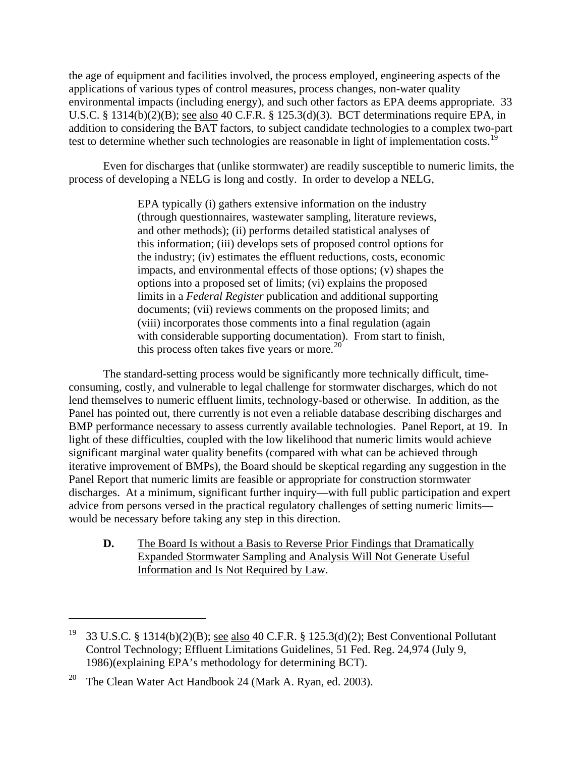the age of equipment and facilities involved, the process employed, engineering aspects of the applications of various types of control measures, process changes, non-water quality environmental impacts (including energy), and such other factors as EPA deems appropriate. 33 U.S.C. § 1314(b)(2)(B); see also 40 C.F.R. § 125.3(d)(3). BCT determinations require EPA, in addition to considering the BAT factors, to subject candidate technologies to a complex two-part test to determine whether such technologies are reasonable in light of implementation costs.<sup>[19](#page-12-0)</sup>

Even for discharges that (unlike stormwater) are readily susceptible to numeric limits, the process of developing a NELG is long and costly. In order to develop a NELG,

> EPA typically (i) gathers extensive information on the industry (through questionnaires, wastewater sampling, literature reviews, and other methods); (ii) performs detailed statistical analyses of this information; (iii) develops sets of proposed control options for the industry; (iv) estimates the effluent reductions, costs, economic impacts, and environmental effects of those options; (v) shapes the options into a proposed set of limits; (vi) explains the proposed limits in a *Federal Register* publication and additional supporting documents; (vii) reviews comments on the proposed limits; and (viii) incorporates those comments into a final regulation (again with considerable supporting documentation). From start to finish, this process often takes five years or more.<sup>[20](#page-12-1)</sup>

The standard-setting process would be significantly more technically difficult, timeconsuming, costly, and vulnerable to legal challenge for stormwater discharges, which do not lend themselves to numeric effluent limits, technology-based or otherwise. In addition, as the Panel has pointed out, there currently is not even a reliable database describing discharges and BMP performance necessary to assess currently available technologies. Panel Report, at 19. In light of these difficulties, coupled with the low likelihood that numeric limits would achieve significant marginal water quality benefits (compared with what can be achieved through iterative improvement of BMPs), the Board should be skeptical regarding any suggestion in the Panel Report that numeric limits are feasible or appropriate for construction stormwater discharges. At a minimum, significant further inquiry—with full public participation and expert advice from persons versed in the practical regulatory challenges of setting numeric limits would be necessary before taking any step in this direction.

**D.** The Board Is without a Basis to Reverse Prior Findings that Dramatically Expanded Stormwater Sampling and Analysis Will Not Generate Useful Information and Is Not Required by Law.

<span id="page-12-0"></span><sup>19 33</sup> U.S.C. § 1314(b)(2)(B); see also 40 C.F.R. § 125.3(d)(2); Best Conventional Pollutant Control Technology; Effluent Limitations Guidelines, 51 Fed. Reg. 24,974 (July 9, 1986)(explaining EPA's methodology for determining BCT).

<span id="page-12-1"></span><sup>&</sup>lt;sup>20</sup> The Clean Water Act Handbook 24 (Mark A. Ryan, ed. 2003).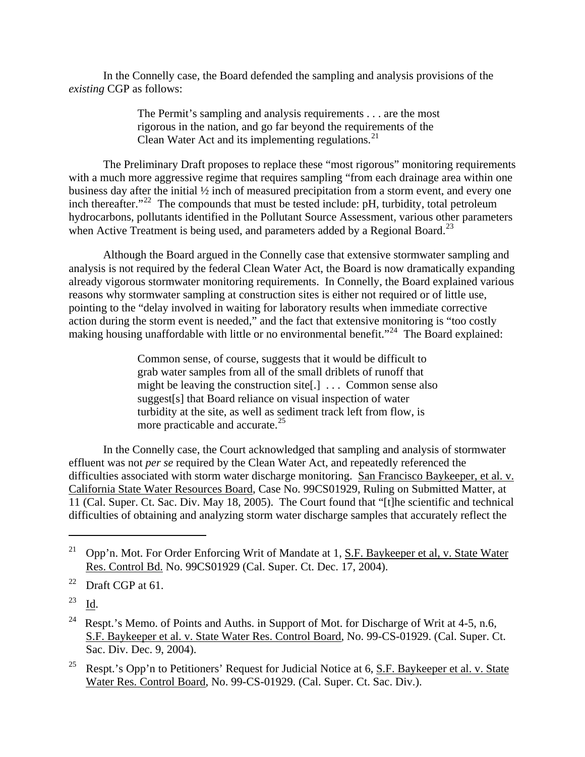In the Connelly case, the Board defended the sampling and analysis provisions of the *existing* CGP as follows:

> The Permit's sampling and analysis requirements . . . are the most rigorous in the nation, and go far beyond the requirements of the Clean Water Act and its implementing regulations. $^{21}$  $^{21}$  $^{21}$

The Preliminary Draft proposes to replace these "most rigorous" monitoring requirements with a much more aggressive regime that requires sampling "from each drainage area within one business day after the initial  $\frac{1}{2}$  inch of measured precipitation from a storm event, and every one inch thereafter. $122$  $122$  The compounds that must be tested include: pH, turbidity, total petroleum hydrocarbons, pollutants identified in the Pollutant Source Assessment, various other parameters when Active Treatment is being used, and parameters added by a Regional Board.<sup>[23](#page-13-2)</sup>

Although the Board argued in the Connelly case that extensive stormwater sampling and analysis is not required by the federal Clean Water Act, the Board is now dramatically expanding already vigorous stormwater monitoring requirements. In Connelly, the Board explained various reasons why stormwater sampling at construction sites is either not required or of little use, pointing to the "delay involved in waiting for laboratory results when immediate corrective action during the storm event is needed," and the fact that extensive monitoring is "too costly making housing unaffordable with little or no environmental benefit."<sup>[24](#page-13-3)</sup> The Board explained:

> Common sense, of course, suggests that it would be difficult to grab water samples from all of the small driblets of runoff that might be leaving the construction site[.] ... Common sense also suggest[s] that Board reliance on visual inspection of water turbidity at the site, as well as sediment track left from flow, is more practicable and accurate.<sup>[25](#page-13-4)</sup>

In the Connelly case, the Court acknowledged that sampling and analysis of stormwater effluent was not *per se* required by the Clean Water Act, and repeatedly referenced the difficulties associated with storm water discharge monitoring. San Francisco Baykeeper, et al. v. California State Water Resources Board, Case No. 99CS01929, Ruling on Submitted Matter, at 11 (Cal. Super. Ct. Sac. Div. May 18, 2005). The Court found that "[t]he scientific and technical difficulties of obtaining and analyzing storm water discharge samples that accurately reflect the

<span id="page-13-2"></span> $23$  Id.

<span id="page-13-0"></span><sup>&</sup>lt;sup>21</sup> Opp'n. Mot. For Order Enforcing Writ of Mandate at 1, S.F. Baykeeper et al, v. State Water Res. Control Bd. No. 99CS01929 (Cal. Super. Ct. Dec. 17, 2004).

<span id="page-13-1"></span> $22$  Draft CGP at 61.

<span id="page-13-3"></span><sup>&</sup>lt;sup>24</sup> Respt.'s Memo. of Points and Auths. in Support of Mot. for Discharge of Writ at 4-5, n.6, S.F. Baykeeper et al. v. State Water Res. Control Board, No. 99-CS-01929. (Cal. Super. Ct. Sac. Div. Dec. 9, 2004).

<span id="page-13-4"></span><sup>&</sup>lt;sup>25</sup> Respt.'s Opp'n to Petitioners' Request for Judicial Notice at 6, S.F. Baykeeper et al. v. State Water Res. Control Board, No. 99-CS-01929. (Cal. Super. Ct. Sac. Div.).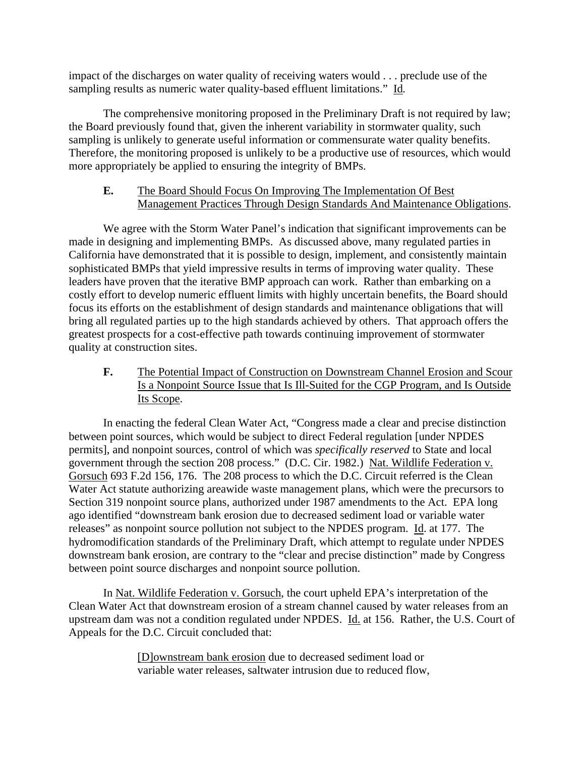impact of the discharges on water quality of receiving waters would . . . preclude use of the sampling results as numeric water quality-based effluent limitations." Id*.*

The comprehensive monitoring proposed in the Preliminary Draft is not required by law; the Board previously found that, given the inherent variability in stormwater quality, such sampling is unlikely to generate useful information or commensurate water quality benefits. Therefore, the monitoring proposed is unlikely to be a productive use of resources, which would more appropriately be applied to ensuring the integrity of BMPs.

## **E.** The Board Should Focus On Improving The Implementation Of Best Management Practices Through Design Standards And Maintenance Obligations.

We agree with the Storm Water Panel's indication that significant improvements can be made in designing and implementing BMPs. As discussed above, many regulated parties in California have demonstrated that it is possible to design, implement, and consistently maintain sophisticated BMPs that yield impressive results in terms of improving water quality. These leaders have proven that the iterative BMP approach can work. Rather than embarking on a costly effort to develop numeric effluent limits with highly uncertain benefits, the Board should focus its efforts on the establishment of design standards and maintenance obligations that will bring all regulated parties up to the high standards achieved by others. That approach offers the greatest prospects for a cost-effective path towards continuing improvement of stormwater quality at construction sites.

**F.** The Potential Impact of Construction on Downstream Channel Erosion and Scour Is a Nonpoint Source Issue that Is Ill-Suited for the CGP Program, and Is Outside Its Scope.

In enacting the federal Clean Water Act, "Congress made a clear and precise distinction between point sources, which would be subject to direct Federal regulation [under NPDES permits], and nonpoint sources, control of which was *specifically reserved* to State and local government through the section 208 process." (D.C. Cir. 1982.) Nat. Wildlife Federation v. Gorsuch 693 F.2d 156, 176. The 208 process to which the D.C. Circuit referred is the Clean Water Act statute authorizing areawide waste management plans, which were the precursors to Section 319 nonpoint source plans, authorized under 1987 amendments to the Act. EPA long ago identified "downstream bank erosion due to decreased sediment load or variable water releases" as nonpoint source pollution not subject to the NPDES program. Id. at 177. The hydromodification standards of the Preliminary Draft, which attempt to regulate under NPDES downstream bank erosion, are contrary to the "clear and precise distinction" made by Congress between point source discharges and nonpoint source pollution.

In Nat. Wildlife Federation v. Gorsuch, the court upheld EPA's interpretation of the Clean Water Act that downstream erosion of a stream channel caused by water releases from an upstream dam was not a condition regulated under NPDES. Id. at 156. Rather, the U.S. Court of Appeals for the D.C. Circuit concluded that:

> [D]ownstream bank erosion due to decreased sediment load or variable water releases, saltwater intrusion due to reduced flow,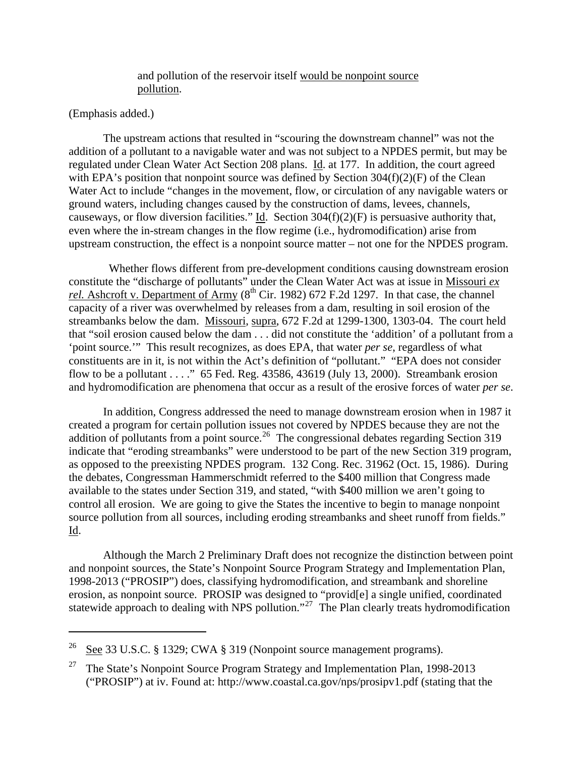#### and pollution of the reservoir itself would be nonpoint source pollution.

#### (Emphasis added.)

 $\overline{a}$ 

The upstream actions that resulted in "scouring the downstream channel" was not the addition of a pollutant to a navigable water and was not subject to a NPDES permit, but may be regulated under Clean Water Act Section 208 plans. Id. at 177. In addition, the court agreed with EPA's position that nonpoint source was defined by Section  $304(f)(2)(F)$  of the Clean Water Act to include "changes in the movement, flow, or circulation of any navigable waters or ground waters, including changes caused by the construction of dams, levees, channels, causeways, or flow diversion facilities." Id. Section  $304(f)(2)(F)$  is persuasive authority that, even where the in-stream changes in the flow regime (i.e., hydromodification) arise from upstream construction, the effect is a nonpoint source matter – not one for the NPDES program.

 Whether flows different from pre-development conditions causing downstream erosion constitute the "discharge of pollutants" under the Clean Water Act was at issue in Missouri *ex rel.* Ashcroft v. Department of Army  $(8<sup>th</sup> Cir. 1982)$  672 F.2d 1297. In that case, the channel capacity of a river was overwhelmed by releases from a dam, resulting in soil erosion of the streambanks below the dam. Missouri, supra, 672 F.2d at 1299-1300, 1303-04. The court held that "soil erosion caused below the dam . . . did not constitute the 'addition' of a pollutant from a 'point source.'" This result recognizes, as does EPA, that water *per se*, regardless of what constituents are in it, is not within the Act's definition of "pollutant." "EPA does not consider flow to be a pollutant  $\dots$  ." 65 Fed. Reg. 43586, 43619 (July 13, 2000). Streambank erosion and hydromodification are phenomena that occur as a result of the erosive forces of water *per se*.

In addition, Congress addressed the need to manage downstream erosion when in 1987 it created a program for certain pollution issues not covered by NPDES because they are not the addition of pollutants from a point source.<sup>[26](#page-15-0)</sup> The congressional debates regarding Section 319 indicate that "eroding streambanks" were understood to be part of the new Section 319 program, as opposed to the preexisting NPDES program. 132 Cong. Rec. 31962 (Oct. 15, 1986). During the debates, Congressman Hammerschmidt referred to the \$400 million that Congress made available to the states under Section 319, and stated, "with \$400 million we aren't going to control all erosion. We are going to give the States the incentive to begin to manage nonpoint source pollution from all sources, including eroding streambanks and sheet runoff from fields." Id.

Although the March 2 Preliminary Draft does not recognize the distinction between point and nonpoint sources, the State's Nonpoint Source Program Strategy and Implementation Plan, 1998-2013 ("PROSIP") does, classifying hydromodification, and streambank and shoreline erosion, as nonpoint source. PROSIP was designed to "provid[e] a single unified, coordinated statewide approach to dealing with NPS pollution."<sup>[27](#page-15-1)</sup> The Plan clearly treats hydromodification

<span id="page-15-0"></span><sup>&</sup>lt;sup>26</sup> See 33 U.S.C. § 1329; CWA § 319 (Nonpoint source management programs).

<span id="page-15-1"></span><sup>&</sup>lt;sup>27</sup> The State's Nonpoint Source Program Strategy and Implementation Plan, 1998-2013 ("PROSIP") at iv. Found at: http://www.coastal.ca.gov/nps/prosipv1.pdf (stating that the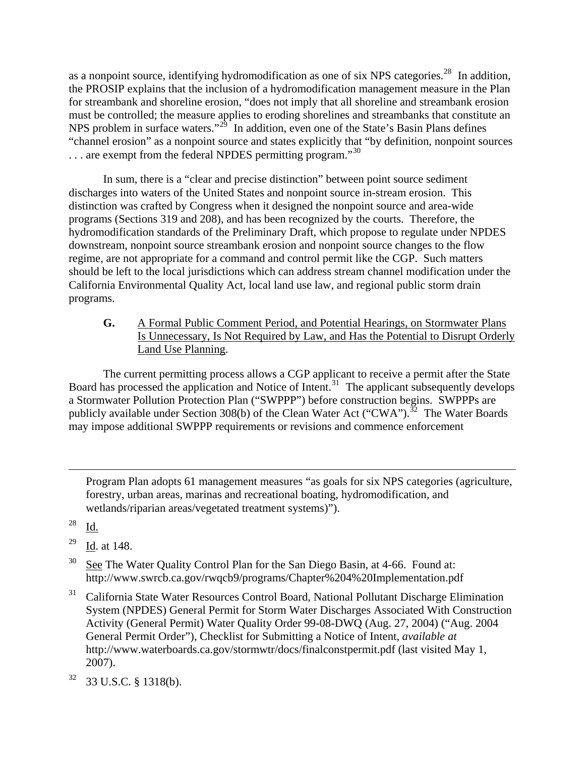as a nonpoint source, identifying hydromodification as one of six NPS categories.<sup>[28](#page-16-0)</sup> In addition, the PROSIP explains that the inclusion of a hydromodification management measure in the Plan for streambank and shoreline erosion, "does not imply that all shoreline and streambank erosion must be controlled; the measure applies to eroding shorelines and streambanks that constitute an NPS problem in surface waters."<sup>[29](#page-16-1)</sup> In addition, even one of the State's Basin Plans defines "channel erosion" as a nonpoint source and states explicitly that "by definition, nonpoint sources  $\ldots$  are exempt from the federal NPDES permitting program."<sup>[30](#page-16-2)</sup>

In sum, there is a "clear and precise distinction" between point source sediment discharges into waters of the United States and nonpoint source in-stream erosion. This distinction was crafted by Congress when it designed the nonpoint source and area-wide programs (Sections 319 and 208), and has been recognized by the courts. Therefore, the hydromodification standards of the Preliminary Draft, which propose to regulate under NPDES downstream, nonpoint source streambank erosion and nonpoint source changes to the flow regime, are not appropriate for a command and control permit like the CGP. Such matters should be left to the local jurisdictions which can address stream channel modification under the California Environmental Quality Act, local land use law, and regional public storm drain programs.

**G.** A Formal Public Comment Period, and Potential Hearings, on Stormwater Plans Is Unnecessary, Is Not Required by Law, and Has the Potential to Disrupt Orderly Land Use Planning.

 The current permitting process allows a CGP applicant to receive a permit after the State Board has processed the application and Notice of Intent.<sup>31</sup> The applicant subsequently develops a Stormwater Pollution Protection Plan ("SWPPP") before construction begins. SWPPPs are publicly available under Section 308(b) of the Clean Water Act ("CWA").<sup>[32](#page-16-4)</sup> The Water Boards may impose additional SWPPP requirements or revisions and commence enforcement

Program Plan adopts 61 management measures "as goals for six NPS categories (agriculture, forestry, urban areas, marinas and recreational boating, hydromodification, and wetlands/riparian areas/vegetated treatment systems)").

<span id="page-16-0"></span><sup>28</sup> Id.

- <span id="page-16-1"></span><sup>29</sup> Id. at 148.
- <span id="page-16-2"></span> $30$  See The Water Quality Control Plan for the San Diego Basin, at 4-66. Found at: http://www.swrcb.ca.gov/rwqcb9/programs/Chapter%204%20Implementation.pdf
- <span id="page-16-3"></span>31 California State Water Resources Control Board, National Pollutant Discharge Elimination System (NPDES) General Permit for Storm Water Discharges Associated With Construction Activity (General Permit) Water Quality Order 99-08-DWQ (Aug. 27, 2004) ("Aug. 2004 General Permit Order"), Checklist for Submitting a Notice of Intent, *available at* http://www.waterboards.ca.gov/stormwtr/docs/finalconstpermit.pdf (last visited May 1, 2007).
- <span id="page-16-4"></span>32 33 U.S.C. § 1318(b).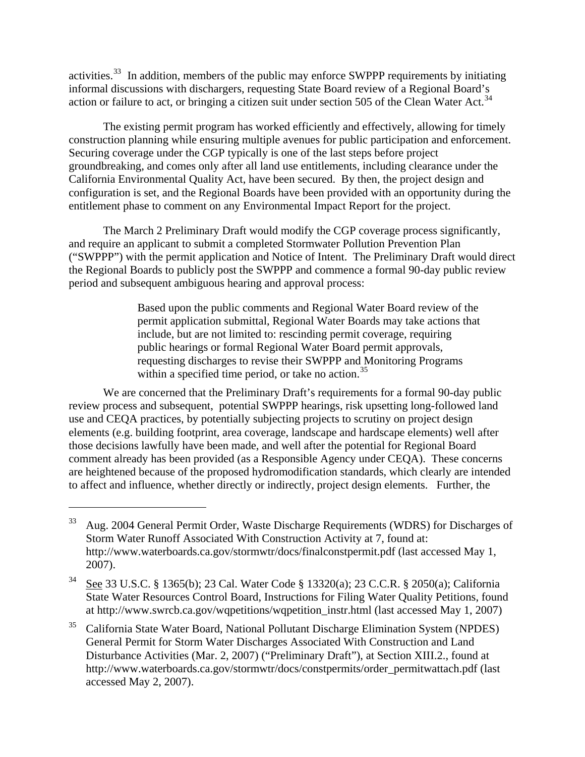activities.[33](#page-17-0) In addition, members of the public may enforce SWPPP requirements by initiating informal discussions with dischargers, requesting State Board review of a Regional Board's action or failure to act, or bringing a citizen suit under section 505 of the Clean Water Act.<sup>[34](#page-17-1)</sup>

 The existing permit program has worked efficiently and effectively, allowing for timely construction planning while ensuring multiple avenues for public participation and enforcement. Securing coverage under the CGP typically is one of the last steps before project groundbreaking, and comes only after all land use entitlements, including clearance under the California Environmental Quality Act, have been secured. By then, the project design and configuration is set, and the Regional Boards have been provided with an opportunity during the entitlement phase to comment on any Environmental Impact Report for the project.

 The March 2 Preliminary Draft would modify the CGP coverage process significantly, and require an applicant to submit a completed Stormwater Pollution Prevention Plan ("SWPPP") with the permit application and Notice of Intent. The Preliminary Draft would direct the Regional Boards to publicly post the SWPPP and commence a formal 90-day public review period and subsequent ambiguous hearing and approval process:

> Based upon the public comments and Regional Water Board review of the permit application submittal, Regional Water Boards may take actions that include, but are not limited to: rescinding permit coverage, requiring public hearings or formal Regional Water Board permit approvals, requesting discharges to revise their SWPPP and Monitoring Programs within a specified time period, or take no action.<sup>[35](#page-17-2)</sup>

 We are concerned that the Preliminary Draft's requirements for a formal 90-day public review process and subsequent, potential SWPPP hearings, risk upsetting long-followed land use and CEQA practices, by potentially subjecting projects to scrutiny on project design elements (e.g. building footprint, area coverage, landscape and hardscape elements) well after those decisions lawfully have been made, and well after the potential for Regional Board comment already has been provided (as a Responsible Agency under CEQA). These concerns are heightened because of the proposed hydromodification standards, which clearly are intended to affect and influence, whether directly or indirectly, project design elements. Further, the

<span id="page-17-0"></span><sup>&</sup>lt;sup>33</sup> Aug. 2004 General Permit Order, Waste Discharge Requirements (WDRS) for Discharges of Storm Water Runoff Associated With Construction Activity at 7, found at: http://www.waterboards.ca.gov/stormwtr/docs/finalconstpermit.pdf (last accessed May 1, 2007).

<span id="page-17-1"></span><sup>34</sup> See 33 U.S.C. § 1365(b); 23 Cal. Water Code § 13320(a); 23 C.C.R. § 2050(a); California State Water Resources Control Board, Instructions for Filing Water Quality Petitions, found at http://www.swrcb.ca.gov/wqpetitions/wqpetition\_instr.html (last accessed May 1, 2007)

<span id="page-17-2"></span><sup>35</sup> California State Water Board, National Pollutant Discharge Elimination System (NPDES) General Permit for Storm Water Discharges Associated With Construction and Land Disturbance Activities (Mar. 2, 2007) ("Preliminary Draft"), at Section XIII.2., found at http://www.waterboards.ca.gov/stormwtr/docs/constpermits/order\_permitwattach.pdf (last accessed May 2, 2007).